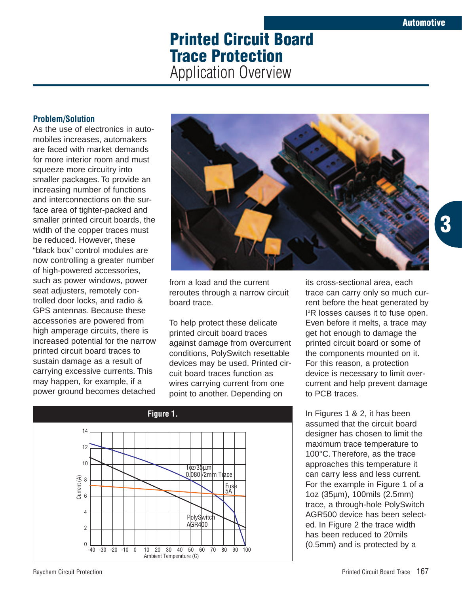**3**

# **Printed Circuit Board Trace Protection** Application Overview

## **Problem/Solution**

As the use of electronics in automobiles increases, automakers are faced with market demands for more interior room and must squeeze more circuitry into smaller packages. To provide an increasing number of functions and interconnections on the surface area of tighter-packed and smaller printed circuit boards, the width of the copper traces must be reduced. However, these "black box" control modules are now controlling a greater number of high-powered accessories, such as power windows, power seat adjusters, remotely controlled door locks, and radio & GPS antennas. Because these accessories are powered from high amperage circuits, there is increased potential for the narrow printed circuit board traces to sustain damage as a result of carrying excessive currents. This may happen, for example, if a power ground becomes detached



from a load and the current reroutes through a narrow circuit board trace.

To help protect these delicate printed circuit board traces against damage from overcurrent conditions, PolySwitch resettable devices may be used. Printed circuit board traces function as wires carrying current from one point to another. Depending on



its cross-sectional area, each trace can carry only so much current before the heat generated by I 2 R losses causes it to fuse open. Even before it melts, a trace may get hot enough to damage the printed circuit board or some of the components mounted on it. For this reason, a protection device is necessary to limit overcurrent and help prevent damage to PCB traces.

In Figures 1 & 2, it has been assumed that the circuit board designer has chosen to limit the maximum trace temperature to 100°C. Therefore, as the trace approaches this temperature it can carry less and less current. For the example in Figure 1 of a 1oz (35µm), 100mils (2.5mm) trace, a through-hole PolySwitch AGR500 device has been selected. In Figure 2 the trace width has been reduced to 20mils (0.5mm) and is protected by a